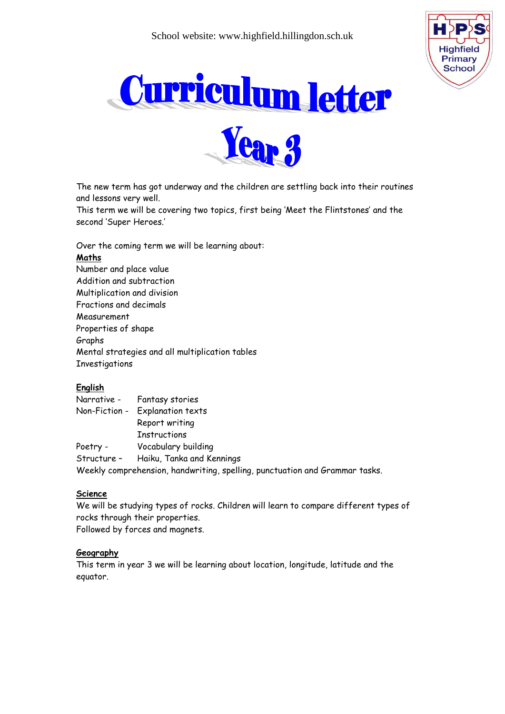





The new term has got underway and the children are settling back into their routines and lessons very well.

This term we will be covering two topics, first being 'Meet the Flintstones' and the second 'Super Heroes.'

Over the coming term we will be learning about:

#### **Maths**

Number and place value Addition and subtraction Multiplication and division Fractions and decimals Measurement Properties of shape Graphs Mental strategies and all multiplication tables **Investigations** 

# **English**

|          | Narrative - Fantasy stories                                                 |
|----------|-----------------------------------------------------------------------------|
|          | Non-Fiction - Explanation texts                                             |
|          | Report writing                                                              |
|          | <b>Instructions</b>                                                         |
| Poetry - | Vocabulary building                                                         |
|          | Structure - Haiku, Tanka and Kennings                                       |
|          | Weekly comprehension, handwriting, spelling, punctuation and Grammar tasks. |

#### **Science**

We will be studying types of rocks. Children will learn to compare different types of rocks through their properties. Followed by forces and magnets.

# **Geography**

This term in year 3 we will be learning about location, longitude, latitude and the equator.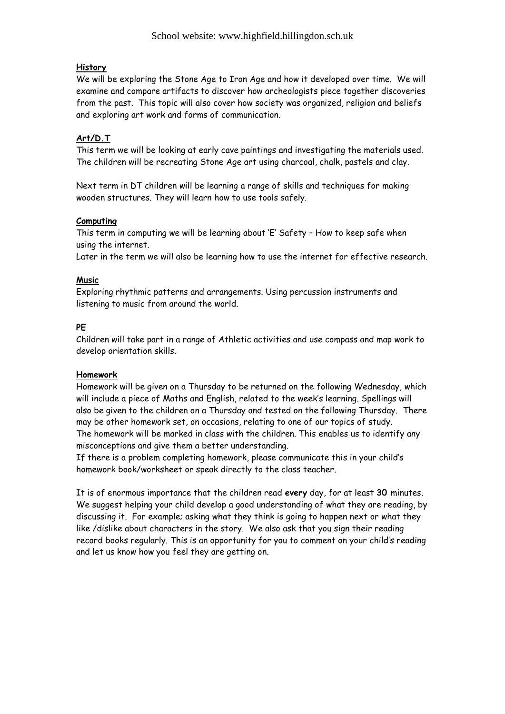# **History**

We will be exploring the Stone Age to Iron Age and how it developed over time. We will examine and compare artifacts to discover how archeologists piece together discoveries from the past. This topic will also cover how society was organized, religion and beliefs and exploring art work and forms of communication.

# **Art/D.T**

This term we will be looking at early cave paintings and investigating the materials used. The children will be recreating Stone Age art using charcoal, chalk, pastels and clay.

Next term in DT children will be learning a range of skills and techniques for making wooden structures. They will learn how to use tools safely.

# **Computing**

This term in computing we will be learning about 'E' Safety – How to keep safe when using the internet.

Later in the term we will also be learning how to use the internet for effective research.

# **Music**

Exploring rhythmic patterns and arrangements. Using percussion instruments and listening to music from around the world.

# **PE**

Children will take part in a range of Athletic activities and use compass and map work to develop orientation skills.

# **Homework**

Homework will be given on a Thursday to be returned on the following Wednesday, which will include a piece of Maths and English, related to the week's learning. Spellings will also be given to the children on a Thursday and tested on the following Thursday. There may be other homework set, on occasions, relating to one of our topics of study. The homework will be marked in class with the children. This enables us to identify any misconceptions and give them a better understanding.

If there is a problem completing homework, please communicate this in your child's homework book/worksheet or speak directly to the class teacher.

It is of enormous importance that the children read **every** day, for at least **30** minutes. We suggest helping your child develop a good understanding of what they are reading, by discussing it. For example; asking what they think is going to happen next or what they like /dislike about characters in the story. We also ask that you sign their reading record books regularly. This is an opportunity for you to comment on your child's reading and let us know how you feel they are getting on.